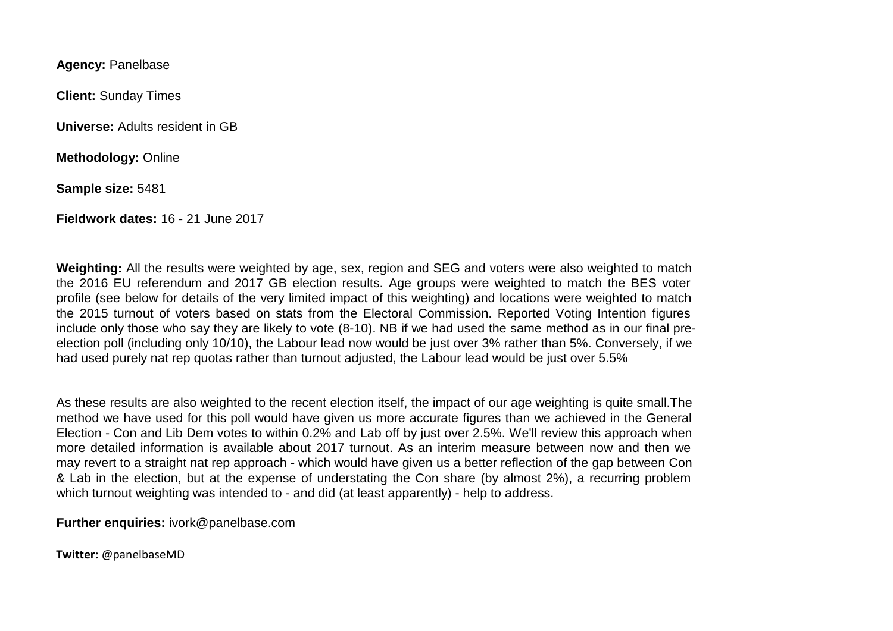**Agency:** Panelbase

**Client:** Sunday Times

**Universe:** Adults resident in GB

**Methodology:** Online

**Sample size:** 5481

**Fieldwork dates:** 16 - 21 June 2017

**Weighting:** All the results were weighted by age, sex, region and SEG and voters were also weighted to match the 2016 EU referendum and 2017 GB election results. Age groups were weighted to match the BES voter profile (see below for details of the very limited impact of this weighting) and locations were weighted to match the 2015 turnout of voters based on stats from the Electoral Commission. Reported Voting Intention figures include only those who say they are likely to vote (8-10). NB if we had used the same method as in our final preelection poll (including only 10/10), the Labour lead now would be just over 3% rather than 5%. Conversely, if we had used purely nat rep quotas rather than turnout adjusted, the Labour lead would be just over 5.5%

As these results are also weighted to the recent election itself, the impact of our age weighting is quite small.The method we have used for this poll would have given us more accurate figures than we achieved in the General Election - Con and Lib Dem votes to within 0.2% and Lab off by just over 2.5%. We'll review this approach when more detailed information is available about 2017 turnout. As an interim measure between now and then we may revert to a straight nat rep approach - which would have given us a better reflection of the gap between Con & Lab in the election, but at the expense of understating the Con share (by almost 2%), a recurring problem which turnout weighting was intended to - and did (at least apparently) - help to address.

**Further enquiries:** ivork@panelbase.com

**Twitter:** @panelbaseMD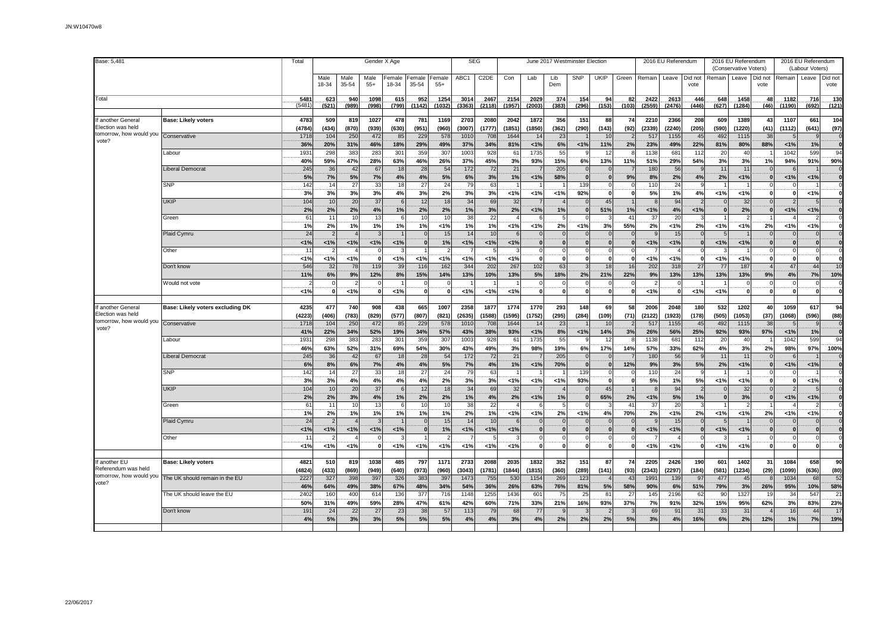| Base: 5,481                                    |                                  | Total         |               |               | Gender X Age  |                 |                 |                 |                | <b>SEG</b>        |                |                             |              | June 2017 Westminster Election |                            |             |                | 2016 EU Referendum |                 |              | 2016 EU Referendum<br>(Conservative Voters) |                 |                | 2016 EU Referendum<br>(Labour Voters) |                        |
|------------------------------------------------|----------------------------------|---------------|---------------|---------------|---------------|-----------------|-----------------|-----------------|----------------|-------------------|----------------|-----------------------------|--------------|--------------------------------|----------------------------|-------------|----------------|--------------------|-----------------|--------------|---------------------------------------------|-----------------|----------------|---------------------------------------|------------------------|
|                                                |                                  |               | Male<br>18-34 | Male<br>35-54 | Male<br>$55+$ | Female<br>18-34 | Female<br>35-54 | Female<br>$55+$ | ABC1           | C <sub>2</sub> DE | Con            | Lab                         | Lib<br>Dem   | SNP                            | <b>UKIP</b>                | Green       | Remain         | Leave              | Did not<br>vote | Remain       | Leave                                       | Did not<br>vote | Remain         | Leave                                 | Did not<br>vote        |
| Total                                          |                                  | 5481<br>(5481 | 623<br>(521)  | 940<br>(989)  | 1098<br>(998) | 615<br>(799)    | 952<br>(1142)   | 1254<br>(1032)  | 3014<br>(3363) | 2467<br>(2118)    | 2154<br>(1957) | 2029<br>(2003)              | 374<br>(383) | 154<br>(296)                   | 94<br>(153)                | 82<br>(103) | 2422<br>(2559) | 2613<br>(2476      | 446<br>(446)    | 648<br>(627) | 1458<br>(1284)                              | 48<br>(46)      | 1182<br>(1190) | 716<br>(692)                          | .130<br>(121)          |
| f another General                              | Base: Likely voters              | 4783          | 509           | 819           | 1027          | 478             | 781             | 1169            | 2703           | 2080              | 2042           | 1872                        | 356          | 151                            | 88                         | 74          | 2210           | 2366               | 208             | 609          | 1389                                        | 43              | 1107           | 661                                   | 104                    |
| Election was held                              |                                  | (4784)        | (434)         | (870)         | (939)         | (630)           | (951)           | (960)           | (3007)         | (1777)            | (1851)         | (1850)                      | (362)        | (290)                          | (143)                      | (92)        | (2339)         | (2240)             | (205)           | (590)        | (1220)                                      | (41)            | (1112)         | (641)                                 | (97)                   |
| tomorrow, how would you Conservative<br>vote?  |                                  | 1718          | 104           | 250           | 472           | 85              | 229             | 578             | 1010           | 708               | 1644           | 14                          | 23           |                                | 10                         |             | 517            | 1155               | 45              | 492          | 1115                                        | 38              |                | $\mathbf{q}$                          |                        |
|                                                |                                  | 36%           | 20%           | 31%           | 46%           | 18%             | 29%             | 49%             | 37%            | 34%               | 81%            | 1%                          | 6%           | 1%                             | 11%                        | 2%          | 23%            | 49%                | 22%             | 81%          | 80%                                         | 88%             | < 1%           | 1%                                    | $\mathbf{0}$           |
|                                                | Labour                           | 1931          | 298           | 383           | 283           | 301             | 359             | 307             | 1003           | 928               | 61             | 1735                        | 55           | 9                              | 12                         |             | 1138           | 681                | 112             | 20           | 40                                          |                 | 1042           | 599                                   | 94                     |
|                                                |                                  | 40%<br>245    | 59%           | 47%<br>42     | 28%<br>67     | 63%             | 46%<br>28       | 26%             | 37%<br>172     | 45%               | 3%             | 93%                         | 15%          | 6%                             | 13%                        | 11%         | 51%<br>180     | 29%<br>56          | 54%<br><b>q</b> | 3%           | 3%                                          | 1%              | 94%            | 91%                                   | 90%                    |
|                                                | <b>Liberal Democrat</b>          | 5%            | 36            | 5%            | 7%            | 18<br>4%        | 4%              | 54              | 6%             | 72<br>3%          | 21             | $\overline{7}$<br>1%        | 205          | $\overline{0}$<br>$\mathbf{0}$ | $\overline{0}$<br>$\bf{0}$ | 9%          | 8%             |                    | 4%              | 11<br>2%     | 11                                          | $\mathbf{0}$    | 1%             |                                       |                        |
|                                                | <b>SNP</b>                       | 142           | 7%<br>14      | 27            | 33            | 18              | 27              | 5%<br>24        | 79             | 63                | 1%             |                             | 58%          | 139                            | $\mathbf 0$                |             | 110            | $2\%$<br>24        |                 |              | 1%                                          |                 |                | $1\%$                                 |                        |
|                                                |                                  | 3%            | 3%            | 3%            | 3%            | 4%              | 3%              | 2%              | 3%             | 3%                | 1%             | 1%                          | < 1%         | 92%                            | $\mathbf{0}$               | - 0         | 5%             | 1%                 | 4%              | 1%           | 1%                                          | $\Omega$        | $\mathbf{r}$   | 1%                                    |                        |
|                                                | <b>UKIP</b>                      | 104           | 10            | 20            | 37            | $\epsilon$      | 12              | 18              | 34             | 69                | 32             | $\overline{7}$              |              | $\Omega$                       | 45                         |             |                | 94                 |                 |              | 32                                          |                 |                | 5                                     |                        |
|                                                |                                  | 2%            | 2%            | 2%            | 4%            | 1%              | 2%              | 2%              | 1%             | 3%                | 2%             | 1%                          | 1%           | $\mathbf{0}$                   | 51%                        | 1%          | 1%             | 4%                 | 1%              |              | 2%                                          | $\bf{0}$        | 1%             | 1%                                    |                        |
|                                                | Green                            | 61            | 11            | 10            | 13            |                 | 10              | 10              | 38             | 22                |                | 6                           |              | $\Omega$                       |                            | 41          | 37             | 20                 |                 |              |                                             |                 |                |                                       |                        |
|                                                |                                  | 1%            | 2%            | 1%            | 1%            | 1%              | 1%              | 1%              | 1%             | 1%                | 1%             | 1%                          | 2%           | 1%                             | 3%                         | 55%         | 2%             | 1%                 | 2%              | < 1%         | 1%                                          | 2%              | 1%             | 1%                                    | $\mathbf{0}$           |
|                                                | Plaid Cymru                      | 24            |               |               |               |                 |                 | 15              | 14             | 10                |                | $\Omega$                    |              | $\Omega$                       | $\Omega$                   |             |                | 15                 |                 |              |                                             |                 |                |                                       |                        |
|                                                |                                  | 1%            | 1%            | 1%            | 1%            | 1%              | $\mathbf{0}$    | 1%              | 1%             | 1%                | 1%             | $\mathbf{0}$                | 0            | $\mathbf{0}$                   | $\mathbf{0}$               |             | 1%             | 1%                 | $\mathbf{0}$    | < 1%         | 1%                                          | $\mathbf{0}$    | $\mathbf 0$    | $\mathbf{0}$<br>ΩI                    |                        |
|                                                | Other                            | 11<br>< 1%    | < 1%          | 1%            | $\mathbf{0}$  | $< 1\%$         | 1%              | < 1%            | 1%             | < 1%              | 1%             | $\mathbf 0$<br>$\mathbf{0}$ | 0            | $\mathbf 0$<br>$\mathbf{0}$    | $\Omega$<br>$\mathbf 0$    |             | 1%             | 1%                 |                 | < 1%         | 1%                                          | 0               | $\Omega$<br>0  | $\mathbf{0}$                          |                        |
|                                                | Don't know                       | 546           | 32            | 78            | 119           | 39              | 116             | 162             | 344            | 202               | 267            | 102                         | 63           | 3                              | 18                         | 16          | 202            | 318                | 27              | 77           | 187                                         |                 | 47             | 44                                    | 10                     |
|                                                |                                  | 11%           | 6%            | 9%            | 12%           | 8%              | 15%             | 14%             | 13%            | 10%               | 13%            | 5%                          | 18%          | 2%                             | 21%                        | 22%         | 9%             | 13%                | 13%             | 13%          | 13%                                         | 9%              | 4%             | 7%                                    | 10%                    |
|                                                | Would not vote                   |               |               |               |               |                 |                 |                 |                |                   |                | $\Omega$                    |              | $\mathbf 0$                    | $\Omega$                   |             | 2              |                    |                 |              | 0                                           |                 |                | $\Omega$                              |                        |
|                                                |                                  | 1%            |               | 1%            | $\mathbf 0$   | 1%              | $\Omega$        |                 | 1%             | < 1%              | 1%             | $\mathbf{0}$                | $\Omega$     | $\mathbf{0}$                   | $\mathbf{0}$               |             | 1%             | $\mathbf{0}$       | < 1%            | 1%           | $\mathbf 0$                                 | $\Omega$        | $\Omega$       | 0                                     |                        |
|                                                |                                  |               |               |               |               |                 |                 |                 |                |                   |                |                             |              |                                |                            |             |                |                    |                 |              |                                             |                 |                |                                       |                        |
| f another General                              | Base: Likely voters excluding DK | 4235          | 477           | 740           | 908           | 438             | 665             | 1007            | 2358           | 1877              | 1774           | 1770                        | 293          | 148                            | 69                         | 58          | 2006           | 2048               | 180             | 532          | 1202                                        | 40              | 1059           | 617                                   | 94                     |
| Election was held<br>tomorrow, how would you   |                                  | (4223)        | (406)         | (783)         | (829)         | (577)           | (807)           | (821)           | (2635)         | (1588)            | (1595)         | (1752)                      | (295)        | (284)                          | (109)                      | (71)        | (2122)         | (1923)             | (178)           | (505)        | (1053)                                      | (37)            | (1068)         | (596)                                 | (88)                   |
| vote?                                          | Conservative                     | 1718          | 104           | 250           | 472           | 85              | 229             | 578             | 1010           | 708               | 1644           | 14                          | 23           |                                | 10                         |             | 517            | 1155               | 45              | 492          | 1115                                        | 38              |                | $\mathbf{q}$                          |                        |
|                                                | abour                            | 41%<br>1931   | 22%<br>298    | 34%<br>383    | 52%<br>283    | 19%<br>301      | 34%<br>359      | 57%<br>307      | 43%<br>1003    | 38%<br>928        | 93%<br>61      | 1%<br>1735                  | 8%<br>55     | 1%<br>9                        | 14%<br>12                  | 3%          | 26%<br>1138    | 56%<br>681         | 25%<br>112      | 92%<br>20    | 93%<br>40                                   | 97%             | 1%<br>1042     | 1%<br>599                             | $\mathbf{0}$<br>94     |
|                                                |                                  | 46%           | 63%           | 52%           | 31%           | 69%             | 54%             | 30%             | 43%            | 49%               | 3%             | 98%                         | 19%          | 6%                             | 17%                        | 14%         | 57%            | 33%                | 62%             | 4%           | 3%                                          | 2%              | 98%            | 97%                                   | 100%                   |
|                                                | Liberal Democrat                 | 245           | 36            | 42            | 67            | 18              | 28              | 54              | 172            | 72                | 21             | $\overline{7}$              | 205          | $\mathbf{0}$                   | $\mathbf{0}$               |             | 180            | 56                 |                 | 11           | 11                                          |                 |                |                                       |                        |
|                                                |                                  | 6%            | 8%            | 6%            | 7%            | 4%              | 4%              | 5%              | 7%             | 4%                | 1%             | 1%                          | 70%          | $\mathbf{0}$                   | $\mathbf{0}$               | 12%         | 9%             | 3%                 | 5%              | 2%           | 1%                                          | $\Omega$        | < 1%           | 1%                                    |                        |
|                                                | <b>SNP</b>                       | 142           | 14            | 27            | 33            | 18              | 27              | 24              | 79             | 63                |                |                             |              | 139                            | $\Omega$                   |             | 110            | 24                 |                 |              |                                             |                 |                |                                       |                        |
|                                                |                                  | 3%            | 3%            | 4%            | 4%            | 4%              | 4%              | 2%              | 3%             | 3%                | 1%             | 1%                          | $< 1\%$      | 93%                            | $\mathbf{0}$               |             | 5%             | 1%                 | 5%              | 1%           | 1%                                          | $\bf{0}$        |                | 1%                                    |                        |
|                                                | <b>UKIP</b>                      | 104           | 10            | 20            | 37            | 6               | 12              | 18              | 34             | 69                | 32             | $\overline{7}$              |              | $\Omega$                       | 45                         |             |                | 94                 | -2              |              | 32                                          |                 |                | $5\overline{5}$                       |                        |
|                                                |                                  | 2%            | 2%            | 3%            | 4%            | 1%              | 2%              | 2%              | 1%             | 4%                | 2%             | 1%                          | 1%           | $\mathbf{0}$                   | 65%                        | 2%          | 1%             | $5%$               | 1%              |              | 3%                                          | $\Omega$        | < 1%           | 1%                                    |                        |
|                                                | Green                            | 61<br>1%      | 11            | 10<br>1%      | 13<br>1%      | $\epsilon$      | 10<br>1%        | 10<br>1%        | 38<br>2%       | 22<br>1%          |                | 6                           |              | $\mathbf{0}$                   | 3                          | 41<br>70%   | 37             | 20                 |                 | 1%           |                                             |                 | 1%             | $\overline{\phantom{a}}$              |                        |
|                                                | Plaid Cymru                      | 24            | 2%            |               |               | 1%              |                 | 15              | 14             | 10                | 1%             | 1%<br>$\Omega$              | 2%           | 1%<br>$\Omega$                 | 4%<br>$\Omega$             |             | 2%             | 1%<br>15           | 2%              |              | 1%                                          | 2%              |                | 1%<br>$\Omega$                        |                        |
|                                                |                                  | < 1%          | 1%            | 1%            | 1%            | 1%              | $\mathbf{0}$    | 1%              | 1%             | < 1%              | 1%             | $\mathbf{0}$                |              | $\mathbf{0}$                   | $\bf{0}$                   |             | 1%             | 1%                 |                 | < 1%         | 1%                                          |                 |                | $\mathbf{0}$                          |                        |
|                                                | Other                            | 11            |               |               |               |                 |                 |                 |                |                   | 3              | $\Omega$                    |              | $\circ$                        | $\Omega$                   |             |                |                    |                 |              |                                             |                 |                | $\mathsf{O}$                          |                        |
|                                                |                                  | 1%            | $< 1\%$       | 1%            | $\mathbf 0$   | 1%              | $1\%$           | $< 1\%$         | 1%             | 1%                | 1%             | $\mathbf{0}$                | O            | $\mathbf{0}$                   | $\mathbf 0$                | $\Omega$    | 1%             | 1%                 | $\Omega$        | 1%           | 1%                                          | $\bf{0}$        | $\Omega$       | 0                                     |                        |
|                                                |                                  |               |               |               |               |                 |                 |                 |                |                   |                |                             |              |                                |                            |             |                |                    |                 |              |                                             |                 |                |                                       |                        |
| another EU                                     | <b>Base: Likely voters</b>       | 4821          | 510           | 819           | 1038          | 485             | 797             | 1171            | 2733           | 2088              | 2035           | 1832                        | 352          | 151                            | 87                         | 74          | 2205           | 2426               | 190             | 601          | 1402                                        | 31              | 1084           | 658                                   | 90                     |
| Referendum was held<br>tomorrow, how would you |                                  | (4824)        | (433)         | (869)         | (949)         | (640)           | (973)           | (960)           | (3043)         | (1781)            | (1844)         | (1815)                      | (360)        | (289)                          | (141)                      | (93)        | (2343)         | (2297)             | (184)           | (581)        | (1234)                                      | (29)            | (1099)         | (636)                                 | (80)                   |
| vote?                                          | The UK should remain in the EU   | 2227          | 327           | 398           | 397           | 326             | 383             | 397             | 1473           | 755               | 530            | 1154                        | 269          | 123                            | $\overline{4}$             | 43          | 1991           | 139                | 97              | 477          | 45                                          |                 | 1034           | 68                                    | 52                     |
|                                                |                                  | 46%<br>2402   | 64%           | 49%<br>400    | 38%           | 67%             | 48%<br>377      | 34%<br>716      | 54%<br>1148    | 36%               | 26%<br>1436    | 63%                         | 76%          | 81%                            | 5%                         | 58%         | 90%            | 6%                 | 51%             | 79%<br>90    | 3%<br>1327                                  | 26%             | 95%            | 10%<br>547                            | 58%                    |
|                                                | The UK should leave the EU       | 50%           | 160<br>31%    | 49%           | 614<br>59%    | 136<br>28%      | 47%             | 61%             | 42%            | 1255<br>60%       | 71%            | 601<br>33%                  | 75<br>21%    | 25<br>16%                      | 81<br>93%                  | 27<br>37%   | 145<br>7%      | 2196<br>91%        | 62<br>32%       | 15%          | 95%                                         | 19<br>62%       | 34<br>3%       | 83%                                   | $\overline{21}$<br>23% |
|                                                | Don't know                       | 191           | 24            | 22            | 27            | 23              | 38              | 5               | 113            | 79                | 68             | 77                          |              |                                |                            |             | 69             | 91                 | 31              | 33           | 31                                          |                 | 16             | 44                                    | 17                     |
|                                                |                                  | 4%            | 5%            | 3%            | 3%            | 5%              | 5%              | 5%              | 4%             | 4%                | 3%             | 4%                          | 2%           | 2%                             | 2%                         | 5%          | 3%             | 4%                 | 16%             | 6%           | 2%                                          | 12%             | 1%             | 7%                                    | 19%                    |
|                                                |                                  |               |               |               |               |                 |                 |                 |                |                   |                |                             |              |                                |                            |             |                |                    |                 |              |                                             |                 |                |                                       |                        |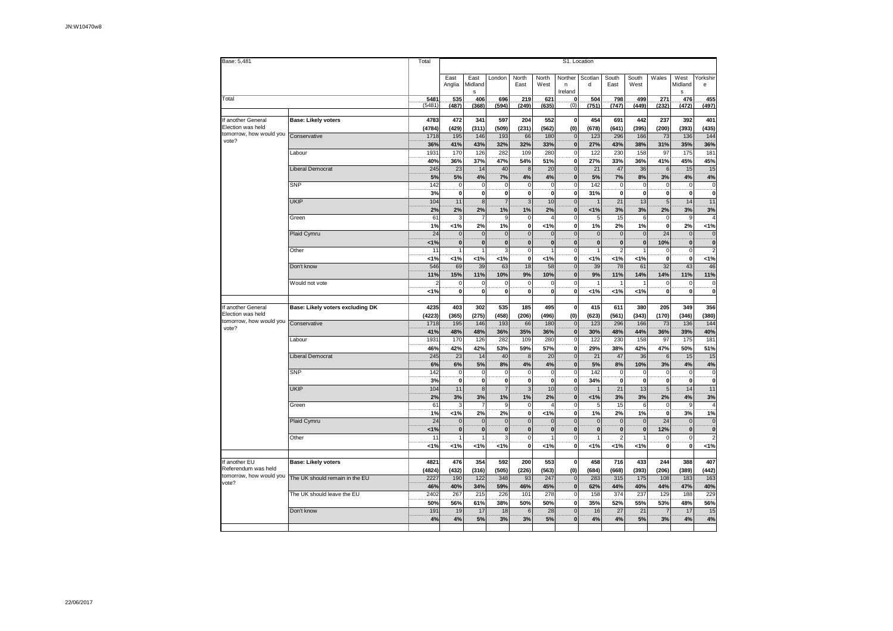| Base: 5,481                                  |                                  | Total          | S1. Location                           |                               |                               |                               |                   |                              |                                |                                |                    |                                      |                                             |                                                    |  |
|----------------------------------------------|----------------------------------|----------------|----------------------------------------|-------------------------------|-------------------------------|-------------------------------|-------------------|------------------------------|--------------------------------|--------------------------------|--------------------|--------------------------------------|---------------------------------------------|----------------------------------------------------|--|
|                                              |                                  |                | East<br>Anglia                         | East<br>Midland<br>s          | London                        | North<br>East                 | North<br>West     | Norther<br>n<br>Ireland      | Scotlan<br>d                   | South<br>East                  | South<br>West      | Wales                                | West<br>Midland<br>s                        | Yorkshir<br>е                                      |  |
| Total                                        |                                  | 5481<br>(5481) | 535<br>(487)                           | 406<br>(368)                  | 696<br>(594)                  | 219<br>(249)                  | 621<br>(635)      | .0.<br>(0)                   | 504<br>(751)                   | 798<br>(747)                   | 499<br>(449)       | 271<br>(232)                         | 476<br>(472)                                | 455<br>(497)                                       |  |
| If another General                           | <b>Base: Likely voters</b>       | 4783           | 472                                    | 341                           | 597                           | 204                           | 552               | $\pmb{0}$                    | 454                            | 691                            | 442                | 237                                  | 392                                         | 401                                                |  |
| Election was held<br>tomorrow, how would you | Conservative                     | (4784)<br>1718 | (429)<br>195                           | (311)<br>146                  | (509)<br>193                  | (231)<br>66                   | (562)<br>180      | (0)<br>$\mathbf 0$           | (678)<br>123                   | (641)<br>296                   | (395)<br>166       | (200)<br>73                          | (393)<br>136                                | (435)<br>144                                       |  |
| vote?                                        | Labour                           | 36%<br>1931    | 41%<br>170                             | 43%<br>126                    | 32%<br>282                    | 32%<br>109                    | 33%<br>280        | $\pmb{0}$<br>$\mathbf 0$     | 27%<br>122                     | 43%<br>230                     | 38%<br>158         | 31%<br>97                            | 35%<br>175                                  | 36%<br>181                                         |  |
|                                              |                                  | 40%            | 36%                                    | 37%                           | 47%                           | 54%                           | 51%               | $\mathbf{0}$                 | 27%                            | 33%                            | 36%                | 41%                                  | 45%                                         | 45%                                                |  |
|                                              | <b>Liberal Democrat</b>          | 245<br>5%      | 23<br>5%                               | 14<br>4%                      | 40<br>7%                      | $\boldsymbol{8}$<br>4%        | 20<br>4%          | $\mathbf{0}$<br>$\mathbf{0}$ | 21<br>5%                       | 47<br>7%                       | 36<br>8%           | $6\phantom{1}6$<br>3%                | 15<br>4%                                    | 15<br>4%                                           |  |
|                                              | SNP                              | 142            | $\overline{0}$                         | $\overline{0}$                | $\overline{0}$                | $\circ$                       | $\overline{0}$    | $\overline{0}$               | 142                            | $\overline{0}$                 | $\Omega$           | $\overline{0}$                       | $\frac{0}{0}$                               | $\overline{0}$                                     |  |
|                                              | <b>UKIP</b>                      | 3%<br>104      | 0<br>11                                | $\pmb{0}$<br>8                | $\mathbf 0$<br>$\overline{7}$ | $\pmb{0}$<br>$\mathsf 3$      | 0<br>10           | $\mathbf 0$<br>$\mathbf 0$   | 31%                            | 0<br>21                        | $\mathbf 0$<br>13  | 0<br>$\sqrt{5}$                      | 14                                          | ö<br>11                                            |  |
|                                              |                                  | 2%             | 2%                                     | 2%                            | 1%                            | 1%                            | 2%                | $\bf{0}$                     | 1%                             | 3%                             | 3%                 | 2%                                   | 3%                                          | 3%                                                 |  |
|                                              | Green                            | 61<br>1%       | 3<br>1%                                | $\overline{7}$<br>2%          | 9<br>1%                       | $\mathbf 0$<br>$\mathbf 0$    | 4<br>1%           | $\mathbf 0$<br>$\mathbf 0$   | 5<br>1%                        | 15<br>2%                       | 6<br>1%            | $\mathbf 0$<br>$\mathbf{0}$          | 9<br>2%                                     | $\overline{4}$<br>1%                               |  |
|                                              | Plaid Cymru                      | 24             | $\mathbf{0}$                           | $\mathbf 0$                   | $\mathbf 0$                   | $\mathbf{0}$                  | $\bf 0$           | $\overline{0}$               | $\mathbf{0}$                   | $\mathbf 0$                    | $\mathbf{0}$       | 24                                   | $\mathbf 0$                                 | $\mathbf 0$                                        |  |
|                                              | Other                            | 1%<br>11       | $\bf{0}$                               | $\mathbf{0}$<br>1             | $\overline{0}$<br>3           | $\pmb{0}$<br>ō                | $\mathbf 0$<br>1  | $\mathbf{0}$<br>$\Omega$     | $\mathbf{0}$<br>$\overline{1}$ | $\mathbf{0}$<br>$\overline{2}$ | $\mathbf{0}$       | 10%<br>$\mathbf 0$                   | $\overline{\mathbf{0}}$<br>0                | $\overline{\mathbf{0}}$<br>$\overline{\mathbf{c}}$ |  |
|                                              |                                  | 1%             | 1%                                     | 1%                            | 1%                            | $\overline{\mathbf{0}}$       | 1%                | $\pmb{0}$                    | 1%                             | 1%                             | 1%                 | $\overline{\mathbf{0}}$              | $\overline{\mathbf{0}}$                     | 1%                                                 |  |
|                                              | Don't know                       | 546<br>11%     | 69<br>15%                              | 39<br>11%                     | 63<br>10%                     | 18<br>9%                      | 58<br>10%         | $\mathbf{0}$<br>$\mathbf 0$  | 39<br>9%                       | 78<br>11%                      | 61<br>14%          | 32<br>14%                            | 43<br>11%                                   | 46<br>11%                                          |  |
|                                              | Would not vote                   | 2<br><1%       | $\mathbf 0$<br>$\overline{\mathbf{0}}$ | $\mathbf 0$<br>$\overline{0}$ | 0<br>ō                        | $\mathbf 0$<br>$\overline{0}$ | 0<br>$\pmb{0}$    | $\mathbf 0$<br>$\mathbf 0$   | 1%                             | 1<br>1%                        | 1%                 | $\pmb{0}$<br>$\overline{\mathbf{0}}$ | $\boldsymbol{0}$<br>$\overline{\mathbf{0}}$ | $\frac{0}{0}$                                      |  |
| If another General                           | Base: Likely voters excluding DK | 4235           | 403                                    | 302                           | 535                           | 185                           | 495               | $\mathbf 0$                  | 415                            | 611                            | 380                | 205                                  | 349                                         | 356                                                |  |
| Election was held<br>tomorrow, how would you |                                  | (4223)         | (365)                                  | (275)                         | (458)                         | (206)                         | (496)             | (0)                          | (623)                          | (561)                          | (343)              | (170)                                | (346)                                       | (380)                                              |  |
| vote?                                        | Conservative                     | 1718<br>41%    | 195<br>48%                             | 146<br>48%                    | 193<br>36%                    | 66<br>35%                     | 180<br>36%        | $\mathbf{0}$<br>$\mathbf 0$  | 123<br>30%                     | 296<br>48%                     | 166<br>44%         | 73<br>36%                            | 136<br>39%                                  | 144<br>40%                                         |  |
|                                              | Labour                           | 1931           | 170                                    | 126                           | 282<br>53%                    | 109<br>59%                    | 280               | $\mathbf 0$                  | 122                            | 230<br>38%                     | 158<br>42%         | 97                                   | 175<br>50%                                  | 181                                                |  |
|                                              | <b>Liberal Democrat</b>          | 46%<br>245     | 42%<br>23                              | 42%<br>14                     | 40                            | $\bf 8$                       | 57%<br>20         | $\mathbf 0$<br>$\mathbf{0}$  | 29%<br>21                      | 47                             | 36                 | 47%<br>$6\phantom{1}6$               | 15                                          | 51%<br>15                                          |  |
|                                              | <b>SNP</b>                       | 6%<br>142      | 6%<br>$\mathbf 0$                      | 5%<br>$\pmb{0}$               | 8%<br>0                       | 4%<br>$\mathbf 0$             | 4%<br>$\mathbf 0$ | $\mathbf 0$<br>$\mathbf 0$   | 5%<br>142                      | 8%<br>$\mathbf 0$              | 10%<br>$\mathbf 0$ | 3%<br>$\pmb{0}$                      | 4%<br>$\mathbf 0$                           | 4%                                                 |  |
|                                              |                                  | 3%             | ö                                      | $\overline{0}$                | ō                             | $\overline{0}$                | $\mathbf 0$       | $\mathbf 0$                  | 34%                            | $\overline{0}$                 | $\mathbf{0}$       | $\overline{\mathbf{0}}$              | $\overline{\mathbf{0}}$                     | $\frac{0}{0}$                                      |  |
|                                              | <b>UKIP</b>                      | 104<br>2%      | 11<br>3%                               | 8<br>3%                       | $\overline{7}$<br>1%          | 3<br>1%                       | 10<br>2%          | $\mathbf{0}$<br>$\mathbf{0}$ | 1%                             | 21<br>3%                       | 13<br>3%           | $\overline{5}$<br>2%                 | 14<br>4%                                    | 11<br>3%                                           |  |
|                                              | Green                            | 61             | 3                                      | $\overline{7}$                | 9                             | $\mathbf 0$                   | 4                 | $\mathbf 0$                  | 5                              | 15                             | 6                  | $\pmb{0}$                            | 9                                           | $\overline{4}$                                     |  |
|                                              | Plaid Cymru                      | 1%<br>24       | 1%<br>$\mathbf 0$                      | 2%<br>$\bf 0$                 | 2%<br>$\pmb{0}$               | $\pmb{0}$<br>$\mathbf 0$      | 1%<br>$\pmb{0}$   | 0<br>$\mathbf{0}$            | 1%<br>$\mathbf{0}$             | 2%<br>$\mathbf 0$              | 1%<br>$\mathbf{0}$ | $\pmb{0}$<br>24                      | 3%<br>$\pmb{0}$                             | 1%<br>$\mathbf 0$                                  |  |
|                                              |                                  | 1%             | $\dddot{\mathbf{0}}$                   | $\pmb{0}$                     | $\overline{\mathbf{0}}$       | $\pmb{0}$                     | $\pmb{0}$         | $\mathbf{0}$                 | $\mathbf{0}$                   | $\bf{0}$                       | $\mathbf 0$        | 12%                                  | $\overline{\mathbf{0}}$                     | ö                                                  |  |
|                                              | Other                            | 11<br>1%       | 1%                                     | 1<br>1%                       | 3<br>1%                       | $\mathbf 0$<br>$\overline{0}$ | 1<br>1%           | $\Omega$<br>$\mathbf{0}$     | 1%                             | $\overline{2}$<br>3%           | 1%                 | $\pmb{0}$<br>ö                       | $\mathbf 0$<br>ö                            | $\overline{\mathbf{c}}$<br>$1\%$                   |  |
| If another EU                                |                                  |                |                                        |                               |                               |                               |                   |                              |                                |                                |                    |                                      |                                             |                                                    |  |
| Referendum was held                          | <b>Base: Likely voters</b>       | 4821<br>(4824) | 476<br>(432)                           | 354<br>(316)                  | 592<br>(505)                  | 200<br>(226)                  | 553<br>(563)      | $\mathbf 0$<br>(0)           | 458<br>(684)                   | 716<br>(668)                   | 433<br>(393)       | 244<br>(206)                         | 388<br>(389)                                | 407<br>(442)                                       |  |
| tomorrow, how would you<br>vote?             | The UK should remain in the EU   | 2227<br>46%    | 190<br>40%                             | 122<br>34%                    | 348<br>59%                    | 93<br>46%                     | 247<br>45%        | $\bf 0$<br>$\mathbf{0}$      | 283<br>62%                     | 315<br>44%                     | 175<br>40%         | 108<br>44%                           | 183<br>47%                                  | 163<br>40%                                         |  |
|                                              | The UK should leave the EU       | 2402           | 267                                    | 215                           | 226                           | 101                           | 278               | $\mathbf 0$                  | 158                            | 374                            | 237                | 129                                  | 188                                         | 229                                                |  |
|                                              | Don't know                       | 50%<br>191     | 56%<br>19                              | 61%<br>17                     | 38%<br>18                     | 50%<br>6                      | 50%<br>28         | $\pmb{0}$<br>$\mathbf{0}$    | 35%<br>16                      | 52%<br>27                      | 55%<br>21          | 53%<br>$\overline{7}$                | 48%<br>17                                   | 56%<br>15                                          |  |
|                                              |                                  | 4%             | 4%                                     | 5%                            | 3%                            | 3%                            | 5%                | $\mathbf{0}$                 | 4%                             | 4%                             | 5%                 | 3%                                   | 4%                                          | 4%                                                 |  |
|                                              |                                  |                |                                        |                               |                               |                               |                   |                              |                                |                                |                    |                                      |                                             |                                                    |  |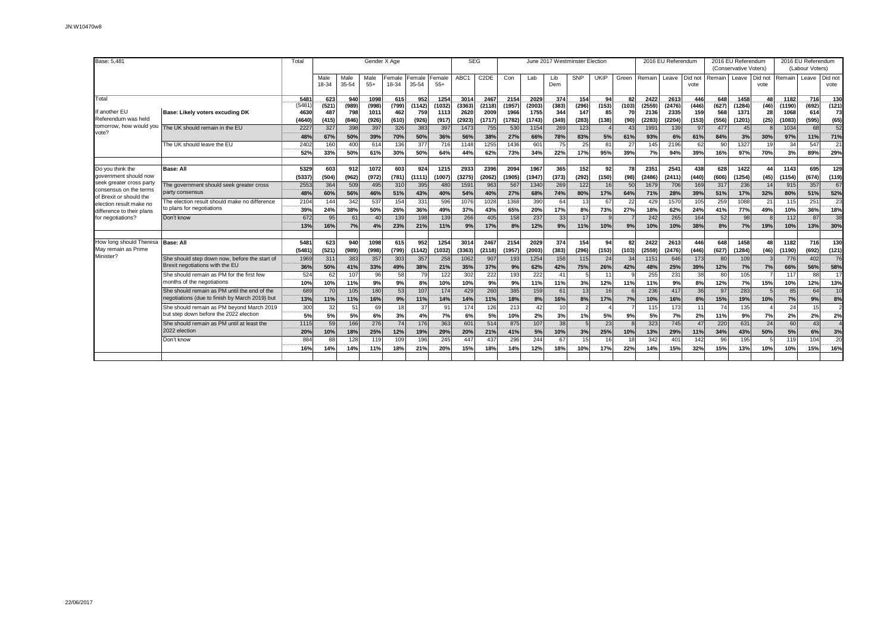| Base: 5.481                                                                   |                                                                                                | Total                | Gender X Age  |               |                  |                       |                 |                 |                | <b>SEG</b>                |                |                |              | June 2017 Westminster Election |             |                       |                | 2016 EU Referendum |                 |              | 2016 EU Referendum<br>(Conservative Voters) |                 |                   | 2016 EU Referendum<br>(Labour Voters) |                 |
|-------------------------------------------------------------------------------|------------------------------------------------------------------------------------------------|----------------------|---------------|---------------|------------------|-----------------------|-----------------|-----------------|----------------|---------------------------|----------------|----------------|--------------|--------------------------------|-------------|-----------------------|----------------|--------------------|-----------------|--------------|---------------------------------------------|-----------------|-------------------|---------------------------------------|-----------------|
|                                                                               |                                                                                                |                      | Male<br>18-34 | Male<br>35-54 | Male<br>$55+$    | Female<br>18-34       | Female<br>35-54 | Female<br>$55+$ | ABC1           | C <sub>2</sub> DE         | Con            | Lab            | Lib<br>Dem   | <b>SNP</b>                     | <b>UKIP</b> | Green                 | Remain         | Leave              | Did not<br>vote | Remain       | Leave                                       | Did not<br>vote | Remain            | Leave                                 | Did not<br>vote |
| Total                                                                         |                                                                                                | 5481<br>(5481        | 623<br>(521)  | 940<br>(989)  | 1098<br>(998)    | 615<br>(799)          | 952<br>(1142)   | 1254<br>(1032)  | 3014<br>(3363) | 2467<br>(2118)            | 2154<br>(1957) | 2029<br>(2003) | 374<br>(383) | 154<br>(296)                   | 94<br>(153) | 82<br>(103)           | 2422<br>(2559) | 2613<br>(2476)     | 446<br>(446)    | 648<br>(627) | 1458<br>(1284)                              | 48<br>(46)      | 1182<br>(1190)    | 716<br>(692)                          | 130<br>(121)    |
| f another EU<br>Referendum was held                                           | Base: Likely voters excuding DK                                                                | 4630<br>(4640)       | 487<br>(415)  | 798<br>(846)  | 1011<br>(926)    | 462<br>(610)          | 759<br>(926)    | 1113<br>(917)   | 2620<br>(2923) | 2009<br>(1717)            | 1966<br>(1782) | 1755<br>(1743) | 344<br>(349) | 147<br>(283)                   | 85<br>(138) | 70<br>(90)            | 2136<br>(2283) | 2335<br>(2204)     | 159<br>(153)    | 568<br>(556) | 1371<br>(1201)                              | 28<br>(25)      | 1068<br>(1083)    | 614<br>(595)                          | 73<br>(65)      |
| tomorrow, how would you<br>vote?                                              | The UK should remain in the EU                                                                 | 2227<br>48%          | 327<br>67%    | 398<br>50%    | 397<br>39%       | 326<br>70%            | 383<br>50%      | 397<br>36%      | 1473<br>56%    | 755<br>38%                | 530<br>27%     | 1154<br>66%    | 269<br>78%   | 123<br>83%                     | 5%          | 4 <sup>′</sup><br>61% | 199'<br>93%    | 139<br>6%          | 97<br>61%       | 477<br>84%   | 45<br>3%                                    | 30%             | 1034<br>97%       | 68<br>11%                             | 52<br>71%       |
|                                                                               | The UK should leave the EU                                                                     | 2402<br><br>52%      | 160<br>33%    | 400<br>50%    | 614<br>61%       | 136<br>30%            | 377<br>50%      | 716<br>64%      | 1148<br>44%    | 1255<br>62%               | 1436<br>73%    | 601<br>34%     | 75<br>22%    | 25<br>17%                      | 81<br>95%   | 27<br>39%             | 145<br>7%      | 2196<br>94%        | 62<br>39%       | 90<br>16%    | 1327<br>97%                                 | 19<br>70%       | 34<br>3%          | 547<br>89%                            | 21<br>29%       |
| Do you think the<br>government should now                                     | <b>Base: All</b>                                                                               | 5329<br>(5337)       | 603<br>(504)  | 912<br>(962)  | 1072<br>(972)    | 603<br>(781)          | 924<br>(1111)   | 1215<br>(1007)  | 2933<br>(3275) | 2396<br>(2062)            | 2094<br>(1905) | 1967<br>(1947) | 365<br>(373) | 152<br>(292)                   | 92<br>(150) | 78<br>(98)            | 2351<br>(2486) | 2541<br>(2411)     | 438<br>(440)    | 628<br>(606) | 1422<br>(1254)                              | 44<br>(45)      | 1143<br>(1154)    | 695<br>(674)                          | 129<br>(119)    |
| seek greater cross party<br>consensus on the terms<br>of Brexit or should the | The government should seek greater cross<br>party consensus                                    | 2553<br>48%          | 364<br>60%    | 509<br>56%    | 495<br>46%       | 310<br>51%            | 395<br>43%      | 480<br>40%      | 1591<br>54%    | 963<br>40%                | 567<br>27%     | 1340<br>68%    | 269<br>74%   | 122<br>80%                     | 16<br>17%   | 50<br>64%             | 1679<br>71%    | 706<br>28%         | 169<br>39%      | 317<br>51%   | 236<br>17%                                  | 14<br>32%       | 915<br>80%        | 357<br>51%                            | 67<br>52%       |
| election result make no<br>difference to their plans                          | The election result should make no difference<br>to plans for negotiations                     | 2104<br>39%          | 144<br>24%    | 342<br>38%    | 537<br>50%       | 154<br>26%            | 331<br>36%      | 596<br>49%      | 1076<br>37%    | 1028<br>43%               | 1368<br>65%    | 390<br>20%     | 64<br>17%    | 13 <sup>1</sup><br>8%          | 67<br>73%   | 2 <sup>′</sup><br>27% | 429<br>18%     | 1570<br>62%        | 105<br>24%      | 259<br>41%   | 1088<br>77%                                 | 21<br>49%       | 115<br>10%        | 251<br>36%                            | 23<br>18%       |
| for negotiations?                                                             | Don't know                                                                                     | 672<br>13%           | 95<br>16%     | 61<br>7%      | 40<br>4%         | 139<br>23%            | 198<br>21%      | 139<br>11%      | 266<br>9%      | 405<br>17%                | 158<br>8%      | 237<br>12%     | 33<br>9%     | 17<br>11%                      | 10%         | 9%                    | 242<br>10%     | 265<br>10%         | 164<br>38%      | 52<br>8%     | 98<br>7%                                    | 19%             | 112<br>10%        | 87<br>13%                             | 38<br>30%       |
| How long should Theresa<br>May remain as Prime                                | <b>Base: All</b>                                                                               | 5481<br>(5481        | 623<br>(521)  | 940<br>(989)  | 1098<br>(998)    | 615<br>(799)          | 952<br>(1142)   | 1254<br>(1032)  | 3014<br>(3363) | 2467<br>(2118)            | 2154<br>(1957) | 2029<br>(2003) | 374<br>(383) | 154<br>(296)                   | 94<br>(153) | 82<br>(103)           | 2422<br>(2559) | 2613<br>(2476)     | 446<br>(446)    | 648<br>(627) | 1458<br>(1284)                              | 48<br>(46)      | 1182<br>(1190)    | 716<br>(692)                          | 130<br>(121)    |
| Minister?                                                                     | She should step down now, before the start of<br>Brexit negotiations with the EU               | 1969<br>36%          | 311<br>50%    | 383<br>41%    | 357<br>33%       | 303<br>49%            | 357<br>38%      | 258<br>21%      | 1062<br>35%    | 907<br>37%                | 193<br>9%      | 1254<br>62%    | 158<br>42%   | 115<br>75%                     | 24<br>26%   | 34<br>42%             | 1151<br>48%    | 646<br>25%         | 173<br>39%      | 80<br>12%    | 109<br>7%                                   | 7%              | 776<br>66%        | 402<br>56%                            | 76<br>58%       |
|                                                                               | She should remain as PM for the first few<br>months of the negotiations                        | 524<br>------<br>10% | 62<br>10%     | 107<br>11%    | 96<br>----<br>9% | 58<br>an an air<br>9% | 79<br>8%        | 122<br>10%      | 302<br>10%     | 222<br><b>House</b><br>9% | 193<br>9%      | 222<br><br>11% | 41<br>11%    | $\sqrt{2}$<br>3%               | 11<br>12%   | 11%                   | 255<br>11%     | 231<br>----<br>9%  | 38<br>8%        | 80<br>12%    | 105<br>7%                                   | 15%             | 117<br>10%        | 88<br>12%                             | 17<br>13%       |
|                                                                               | She should remain as PM until the end of the<br>negotiations (due to finish by March 2019) but | 689<br>13%           | 70<br>11%     | 105<br>11%    | 180<br>16%       | 53<br>9%              | 107<br>11%      | 174<br>14%      | 429<br>14%     | 260<br>11%                | 385<br>18%     | 159<br>8%      | 61<br>16%    | 13<br>8%                       | 16<br>17%   | 7%                    | 236<br>10%     | 417<br>16%         | 36<br>8%        | 97<br>15%    | 283<br>19%                                  | 10%             | 85<br>7%          | 64<br>9%                              | 10<br>8%        |
|                                                                               | She should remain as PM beyond March 2019<br>but step down before the 2022 election            | 300<br>-----<br>5%   | 32<br>5%      | 51<br>5%      | 69<br>6%         | 18<br>3%              | 37<br>4%        | 91<br>7%        | 174<br>6%      | 126<br>5%                 | 213<br>10%     | 42<br>2%       | 10<br>3%     | $\overline{2}$<br>1%           | 5%          | 9%                    | 115<br>5%      | 173<br>----<br>7%  | 11<br>2%        | 74<br>11%    | 135<br>9%                                   | 7%              | 24<br>2%          | 15<br>2%                              | 2%              |
|                                                                               | She should remain as PM until at least the<br>2022 election                                    | 1115<br>20%          | 59<br>10%     | 166<br>18%    | 276<br>25%       | 74<br>12%             | 176<br>19%      | 363<br>29%      | 601<br>20%     | 514<br>21%                | 875<br>41%     | 107<br>5%      | 38<br>10%    | 5<br>3%                        | 23<br>25%   | 10%                   | 323<br>13%     | 745<br>29%         | 47<br>11%       | 220<br>34%   | 631<br>43%                                  | 24<br>50%       | 60<br>5%          | 43<br>6%                              | 3%              |
|                                                                               | Don't know                                                                                     | 884<br>16%           | 88<br>14%     | 128<br>14%    | 119<br>11%       | 109<br>18%            | 196<br>21%      | 245<br>20%      | 447<br>15%     | 437<br>18%                | 296<br>14%     | 244<br>12%     | 67<br>18%    | 15<br>10%                      | 16<br>17%   | 18<br>22%             | 342<br>14%     | 401<br>15%         | 142<br>32%      | 96<br>15%    | 195<br>13%                                  | 10%             | <b>119</b><br>10% | 104<br>15%                            | 20<br>16%       |
|                                                                               |                                                                                                |                      |               |               |                  |                       |                 |                 |                |                           |                |                |              |                                |             |                       |                |                    |                 |              |                                             |                 |                   |                                       |                 |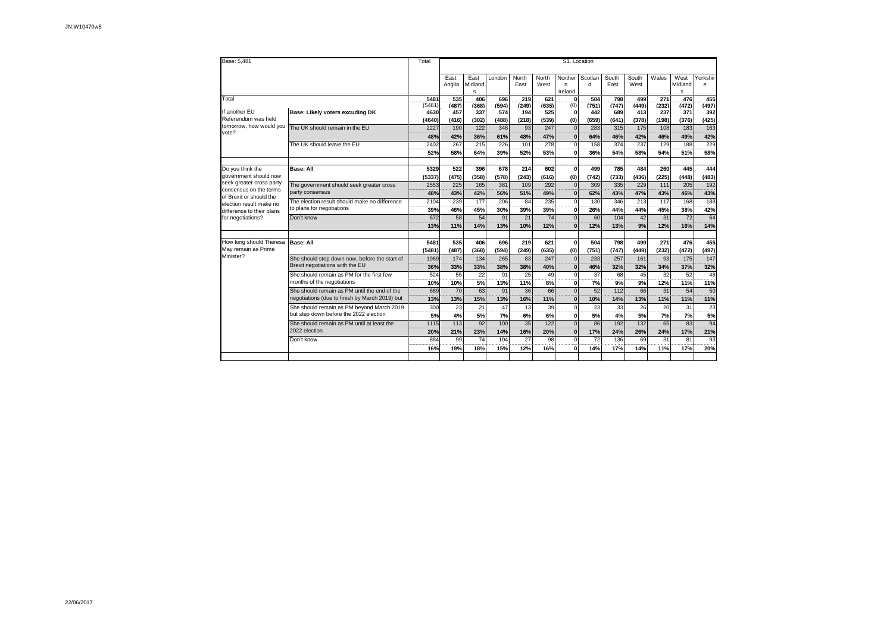| Base: 5,481                                       | Total                                          | S1. Location |                |                      |              |               |                 |                          |                         |               |               |              |                      |               |  |
|---------------------------------------------------|------------------------------------------------|--------------|----------------|----------------------|--------------|---------------|-----------------|--------------------------|-------------------------|---------------|---------------|--------------|----------------------|---------------|--|
|                                                   |                                                |              | East<br>Anglia | East<br>Midland<br>s | London       | North<br>East | North<br>West   | Norther<br>n.<br>Ireland | Scotlan<br>$\mathsf{d}$ | South<br>East | South<br>West | Wales        | West<br>Midland<br>s | Yorkshir<br>e |  |
| Total                                             |                                                | 5481         | 535            | 406                  | 696          | 219           | 621             | $\Omega$                 | 504                     | 798           | 499           | 271          | 476                  | .455          |  |
| If another EU                                     | (5481<br>4630                                  | (487)<br>457 | (368)<br>337   | (594)<br>574         | (249)<br>194 | (635)<br>525  | (0)<br>$\Omega$ | (751)<br>442             | (747)<br>689            | (449)<br>413  | (232)<br>237  | (472)<br>371 | (497)<br>392         |               |  |
| Referendum was held                               | Base: Likely voters excuding DK                |              |                | (302)                | (488)        | (218)         | (539)           | (0)                      | (659)                   | (641)         | (378)         | (198)        | (376)                | (425)         |  |
| tomorrow, how would you                           | The UK should remain in the EU                 | 2227         | 190            | 122                  | 348          | 93            | 247             | $\Omega$                 | 283                     | 315           | 175           | 108          | 183                  | 163           |  |
| vote?                                             |                                                | 48%          | 42%            | 36%                  | 61%          | 48%           | 47%             | $\Omega$                 | 64%                     | 46%           | 42%           | 46%          | 49%                  | 42%           |  |
|                                                   | The UK should leave the EU                     | 2402         | 267<br>$- - -$ | 215                  | 226          | 101           | 278             | $\Omega$                 | 158                     | 374           | 237           | 129          | 188                  | 229<br>       |  |
|                                                   |                                                | 52%          | 58%            | 64%                  | 39%          | 52%           | 53%             | $\Omega$                 | 36%                     | 54%           | 58%           | 54%          | 51%                  | 58%           |  |
|                                                   |                                                |              |                |                      |              |               |                 |                          |                         |               |               |              |                      |               |  |
| Do you think the                                  | <b>Base: All</b>                               | 5329         | 522            | 396                  | 678          | 214           | 602             | $\mathbf{0}$             | 499                     | 785           | 484           | 260          | 445                  | 444           |  |
| government should now<br>seek greater cross party |                                                | (5337)       | (475)          | (358)                | (578)        | (243)         | (616)           | (0)                      | (742)                   | (733)         | (436)         | (225)        | (448)                | (483)         |  |
| consensus on the terms                            | The government should seek greater cross       | 2553         | 225            | 165                  | 381          | 109           | 292             | $\Omega$                 | 309                     | 335           | 229           | 111          | 205                  | 192           |  |
| of Brexit or should the                           | party consensus                                | 48%          | 43%            | 42%                  | 56%          | 51%           | 49%             | n                        | 62%                     | 43%           | 47%           | 43%          | 46%                  | 43%           |  |
| election result make no                           | The election result should make no difference  | 2104         | 239            | 177                  | 206          | 84            | 235             | $\mathbf 0$              | 130                     | 346           | 213           | 117          | 168                  | 188<br>       |  |
| difference to their plans                         | to plans for negotiations                      | 39%          | 46%            | 45%                  | 30%          | 39%           | 39%             | 0                        | 26%                     | 44%           | 44%           | 45%          | 38%                  | 42%           |  |
| for negotiations?                                 | Don't know                                     | 672          | 58             | 54                   | 91           | 21            | 74              | $\Omega$                 | 60                      | 104           | 42            | 31           | 72                   | 64            |  |
|                                                   |                                                | 13%          | 11%            | 14%                  | 13%          | 10%           | 12%             | n                        | 12%                     | 13%           | 9%            | 12%          | 16%                  | 14%           |  |
|                                                   | <b>Base: All</b>                               | 5481         | 535            | 406                  | 696          | 219           |                 | $\mathbf{0}$             | 504                     | 798           | 499           | 271          | 476                  | 455           |  |
| How long should Theresa<br>May remain as Prime    |                                                | (5481)       | (487)          | (368)                | (594)        | (249)         | 621<br>(635)    |                          | (751)                   | (747)         | (449)         | (232)        | (472)                | (497)         |  |
| Minister?                                         | She should step down now, before the start of  | 1969         | 174            | 134                  | 265          | 83            | 247             | (0)<br>$\Omega$          | 233                     | 257           | 161           | 93           | 175                  | 147           |  |
|                                                   | Brexit negotiations with the EU                | 36%          | 33%            | 33%                  | 38%          | 38%           | 40%             | $\Omega$                 | 46%                     | 32%           | 32%           | 34%          | 37%                  | 32%           |  |
|                                                   | She should remain as PM for the first few      | 524          | 55             | 22                   | 91           | 25            | 49              | $\Omega$                 | 37                      | 68            | 45            | 32           | 52                   | 48            |  |
|                                                   | months of the negotiations                     | 10%          | 10%            | 5%                   | 13%          | 11%           | 8%              | 0                        | 7%                      | 9%            | 9%            | 12%          | 11%                  | <br>11%       |  |
|                                                   | She should remain as PM until the end of the   | 689          | 70             | 63                   | 91           | 36            | 66              | $\Omega$                 | 52                      | 112           | 66            | 31           | 54                   | 50            |  |
|                                                   | negotiations (due to finish by March 2019) but | 13%          | 13%            | 15%                  | 13%          | 16%           | 11%             | $\Omega$                 | 10%                     | 14%           | 13%           | 11%          | 11%                  | 11%           |  |
|                                                   | She should remain as PM beyond March 2019      | 300          | 23             | 21                   | 47           | 13            | 39              | $\Omega$                 | 23                      | 33            | 26            | 20           | 31                   | 23            |  |
|                                                   | but step down before the 2022 election         | 5%           | 4%             | 5%                   | 7%           | 6%            | 6%              | 0                        | 5%                      | 4%            | 5%            | 7%           | 7%                   | 5%            |  |
|                                                   | She should remain as PM until at least the     | 1115         | 113            | 92                   | 100          | 35            | 122             | $\Omega$                 | 86                      | 192           | 132           | 65           | 83                   | 94            |  |
|                                                   | 2022 election                                  | 20%          | 21%            | 23%                  | 14%          | 16%           | 20%             | $\Omega$                 | 17%                     | 24%           | 26%           | 24%          | 17%                  | 21%           |  |
|                                                   | Don't know                                     | 884          | 99             | 74                   | 104          | 27            | 98              | $\Omega$                 | 72                      | 136           | 69            | 31           | 81                   | 93            |  |
|                                                   |                                                | 16%          | 19%            | 18%                  | 15%          | 12%           | 16%             | O                        | 14%                     | 17%           | 14%           | 11%          | 17%                  | 20%           |  |
|                                                   |                                                |              |                |                      |              |               |                 |                          |                         |               |               |              |                      |               |  |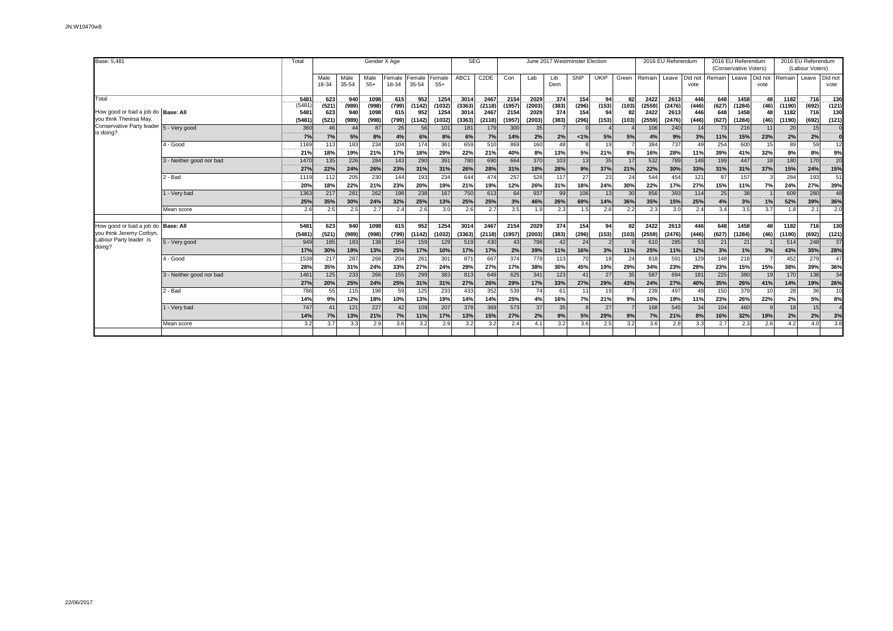| Base: 5,481                                          |                          | Total         | Gender X Age             |               |               |                 |                 |                 | <b>SEG</b>     |                        |                |                       |              | June 2017 Westminster Election |             |             |                | 2016 EU Referendum |               |                | 2016 EU Referendum<br>(Conservative Voters) |                 |                | (Labour Voters) | 2016 EU Referendum<br>Did not<br>vote<br>(692)<br>(121)<br>716<br>130<br>(121)<br>15<br>59 |  |  |  |  |
|------------------------------------------------------|--------------------------|---------------|--------------------------|---------------|---------------|-----------------|-----------------|-----------------|----------------|------------------------|----------------|-----------------------|--------------|--------------------------------|-------------|-------------|----------------|--------------------|---------------|----------------|---------------------------------------------|-----------------|----------------|-----------------|--------------------------------------------------------------------------------------------|--|--|--|--|
|                                                      |                          |               | Male<br>18-34            | Male<br>35-54 | Male<br>$55+$ | Female<br>18-34 | Female<br>35-54 | Female<br>$55+$ | ABC1           | C <sub>2</sub> DE      | Con            | Lab                   | Lib<br>Dem   | SNP                            | <b>UKIP</b> | Green       | Remain         | Leave              | vote          | Did not Remain | Leave                                       | Did not<br>vote | Remain         | Leave           |                                                                                            |  |  |  |  |
| Total                                                |                          | 548           | 623                      | .940          | 1098          | .615            | .952            | 1254            | 3014           | 2467                   | 2154           | 2029                  | 374          | .154                           | _94.        | 82          | 2422           | 2613               | .446          | 648            | 1458                                        | .48             | 1182           | .716            | .130                                                                                       |  |  |  |  |
| How good or bad a job do Base: All                   |                          | (5481<br>5481 | (521)<br>623             | (989)<br>940  | (998)<br>1098 | (799)<br>615    | (1142)<br>952   | (1032)<br>1254  | (3363)<br>3014 | (2118)<br>2467         | (1957)<br>2154 | (2003)<br>2029        | (383)<br>374 | (296)<br>154                   | (153)<br>94 | (103)<br>82 | (2559)<br>2422 | (2476)<br>2613     | (446)<br>446  | (627)<br>648   | (1284)<br>1458                              | (46)<br>48      | (1190)<br>1182 |                 |                                                                                            |  |  |  |  |
| you think Theresa May,                               |                          | (5481)        | (521)                    | (989)         | (998)         | (799)           | (1142)          | (1032)          | (3363)         | (2118)                 | (1957)         | (2003)                | (383)        | (296)                          | (153)       | (103)       | (2559)         | (2476)             | (446)         | (627)          | (1284)                                      | (46)            | (1190)         | (692)           |                                                                                            |  |  |  |  |
| Conservative Party leader                            | 5 - Very good            | 360           | 46                       | 44            | 87            | 26              | 56              | 101             | 181            | 179                    | 300            | 35                    |              |                                |             |             | 106            | 240                | 14            | 73             | 216                                         | 11              | 20             |                 |                                                                                            |  |  |  |  |
| is doing?                                            |                          | 7%            | <b>COLORADO</b><br>7%    | 5%            | 8%            | 4%              | 6%              | 8%              | 6%             | 7%                     | 14%            | 2%                    | 2%           | $< 1\%$                        | 5%          | 5%          | 4%             | 9%                 | 3%            | 11%            | 15%                                         | 23%             | ---<br>2%      | 2%              |                                                                                            |  |  |  |  |
|                                                      | 1 - Good                 | 1169          | 113                      | 183           | 234           | 104             | 174             | 361             | 659            | 510                    | 869            | 160                   | 48           |                                | 19          |             | 384            | 737                | 49            | 254            | 600                                         | 15              | 89             |                 | 12                                                                                         |  |  |  |  |
|                                                      |                          | 21%           | 18%                      | 19%           | 21%           | 17%             | 18%             | 29%             | 22%            | 21%                    | 40%            | 8%                    | 13%          | 5%                             | 21%         | 8%          | 16%            | 28%                | 11%           | 39%            | 41%                                         | 32%             | 8%             | 8%              | 9%                                                                                         |  |  |  |  |
|                                                      | 3 - Neither good nor bad | 1470          | 135<br><b>THEFT</b>      | 226           | 284           | 143             | 290             | 391             | 780            | 690                    | 664            | 370                   | 103          | 13                             | 35          | 17          | 532            | 789                | 148           | 199            | 447                                         | 18              | 180            | 170             | 20                                                                                         |  |  |  |  |
|                                                      |                          | 27%           | 22%                      | 24%           | 26%           | 23%             | 31%             | 31%             | 26%            | 28%                    | 31%            | 18%                   | 28%          | 9%                             | 37%         | 21%         | 22%            | 30%                | 33%           | 31%            | 31%                                         | 37%             | 15%            | 24%             | 15%                                                                                        |  |  |  |  |
|                                                      | - Bad                    | 1119          | 112<br>                  | 205<br>       | 230<br>-----  | 144             | 193             | 234<br>         | 644<br>------  | 474                    | 257<br>-----   | 528                   | 117          | 27                             | 23          | 24<br>      | 544<br>        | 454<br>------      | 121<br>------ | 97             | 157<br>------                               |                 | 284<br>        | 193             | 51                                                                                         |  |  |  |  |
|                                                      |                          | 20%           | 18%                      | 22%           | 21%           | 23%             | 20%             | 19%             | 21%            | 19%                    | 12%            | 26%                   | 31%          | 18%                            | 24%         | 30%         | 22%            | 17%                | 27%           | 15%            | 11%                                         | 7%              | 24%            | 27%             | 39%                                                                                        |  |  |  |  |
|                                                      | - Very bad               | 1363          | 217                      | 281           | 262           | 198             | 238             | 167             | 750            | 613                    | 64             | 937                   | 99           | 106                            | 13          | 30          | 856            | 393                | 114           | 25             | 38                                          |                 | 609            | 280             | 48                                                                                         |  |  |  |  |
|                                                      |                          | 25%           | 35%                      | 30%           | 24%           | 32%             | 25%             | 13%             | 25%            | 25%                    | 3%             | 46%                   | 26%          | 69%                            | 14%         | 36%         | 35%            | 15%                | 25%           | 4%             | 3%                                          | 1%              | 52%            | 39%             | 36%                                                                                        |  |  |  |  |
|                                                      | Mean score               | 2.6           | 2.5                      | 2.5           | 2.7           | 2.4             | 2.6             | 3.0             | 2.6            | 2.7                    | 3.5            | 1.9                   | 2.3          | 1.5                            | 2.8         | 2.2         | 2.3            | 3.0                | 2.4           | 3.4            | 3.5                                         | 3.7             | 1.8            | 2.1             | 2.0                                                                                        |  |  |  |  |
|                                                      |                          |               |                          |               |               |                 |                 |                 |                |                        |                |                       |              |                                |             |             |                |                    |               |                |                                             |                 |                |                 |                                                                                            |  |  |  |  |
| How good or bad a job do<br>you think Jeremy Corbyn, | <b>Base: All</b>         | 5481          | 623                      | 940           | 1098          | 615             | 952             | 1254            | 3014           | 2467                   | 2154           | 2029                  | 374          | 154                            | 94          | 82          | 2422           | 2613               | 446           | 648            | 1458                                        | 48              | 1182           | 716             | 130                                                                                        |  |  |  |  |
| Labour Party leader is                               |                          | (5481)        | (521)                    | (989)         | (998)         | (799)           | (1142)          | (1032)          | (3363)         | (2118)                 | (1957          | (2003)                | (383)        | (296)                          | (153)       | (103)       | (2559)         | (2476)             | (446)         | (627)          | (1284)                                      | (46)            | (1190)         | (692)           | (121)                                                                                      |  |  |  |  |
| doing?                                               | 5 - Very good            | 949           | 185                      | 183           | 138           | 154             | 159             | 129             | 519            | 430                    | 43             | 798                   | 42           | 24                             |             |             | 610            | 285                | 53            | 21             | 21                                          |                 | 514            | 248             | 37                                                                                         |  |  |  |  |
|                                                      |                          | 17%           | 30%                      | 19%<br>287    | 13%<br>268    | 25%             | 17%             | 10%             | 17%            | 17%                    | 2%<br>374      | 39%<br>778            | 11%<br>113   | 16%<br>70                      | 3%<br>18    | 11%<br>24   | 25%            | 11%                | 12%<br>129    | 3%<br>148      | 1%<br>218                                   | 3%              | 43%<br>452     | 35%<br>279      | 28%<br>47                                                                                  |  |  |  |  |
|                                                      | - Good                   | 1539<br>28%   | 217<br><br>35%           | 31%           | 24%           | 204<br>33%      | 261<br><br>27%  | 301<br>24%      | 871<br>29%     | 667<br>-----<br>27%    | 17%            | 38%                   | 30%          | 45%                            | 19%         | <br>29%     | 818<br><br>34% | 591<br>23%         | 29%           | 23%            | 15%                                         | 15%             | <br>38%        | 39%             | 36%                                                                                        |  |  |  |  |
|                                                      | 3 - Neither good nor bad | 1461          | 125                      | 233           | 266           | 155             | 299             | 383             | 813            | 649                    | 625            | 341                   | 123          | 41                             | 27          | 35          | 587            | 694                | 181           | 225            | 380                                         | 19              | 170            | 138             | 34                                                                                         |  |  |  |  |
|                                                      |                          | 27%           | <b>CONTRACTOR</b><br>20% | 25%           | 24%           | 25%             | 31%             | 31%             | 27%            | 26%                    | 29%            | 17%                   | 33%          | 27%                            | 29%         | 43%         | 24%            | 27%                | 40%           | 35%            | 26%                                         | 41%             | ------<br>14%  | 19%             | 26%                                                                                        |  |  |  |  |
|                                                      | - Bad                    | 786           | 55                       | 115           | 198           | 59              | 125             | 233             | 433            | 352                    | 539            | 74                    | 61           | 11                             | 19          |             | 239            | 497                | 49            | 150            | 379                                         | 10              | 28             | 36              | 10                                                                                         |  |  |  |  |
|                                                      |                          | 14%           | 9%                       | 12%           | 18%           | 10%             | 13%             | 19%             | 14%            | 14%                    | 25%            | 4%                    | 16%          | 7%                             | 21%         | 9%          | 10%            | 19%                | 11%           | 23%            | 26%                                         | 22%             | 2%             | 5%              | 8%                                                                                         |  |  |  |  |
|                                                      | 1 - Very bad             | 747           | 41                       | 121           | 227           | 42              | 109             | 207             | 378            | 369                    | 573            | 37                    | 35           |                                | 27          |             | 168            | 545                | 34            | 104            | 460                                         |                 | 18             | 15              |                                                                                            |  |  |  |  |
|                                                      |                          | 14%           | 7%                       | 13%           | 21%           | 7%              | 11%             | 17%             | 13%            | <b>BR 99 99</b><br>15% | <b>27%</b>     | <b>COLORADO</b><br>2% | 9%           | 5%                             | 29%         | 9%          | 7%             | 21%                | 8%            | 16%            | 32%                                         | 19%             | 2%             | 2%              | 3%                                                                                         |  |  |  |  |
|                                                      | Mean score               | 3.2           | 3.7                      | 3.3           | 2.9           | 3.6             | 3.2             | 2.9             | 3.2            | 3.2                    | 2.4            | 4.1                   | 3.2          | 3.6                            | 2.5         | 3.2         | 3.6            | 2.8                | 3.3           | 2.7            | 2.3                                         | 2.6             | 4.2            | 4.0             | 3.8                                                                                        |  |  |  |  |
|                                                      |                          |               |                          |               |               |                 |                 |                 |                |                        |                |                       |              |                                |             |             |                |                    |               |                |                                             |                 |                |                 |                                                                                            |  |  |  |  |